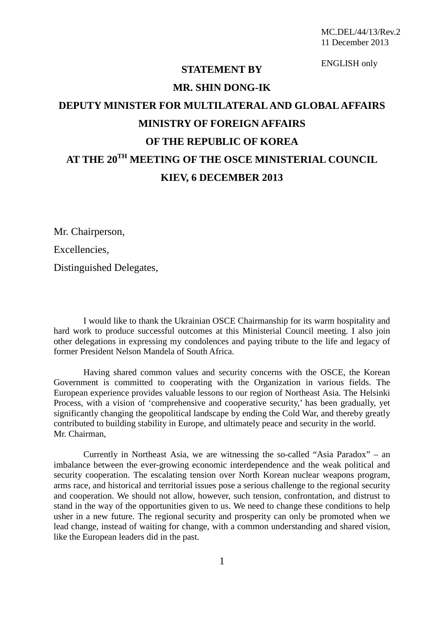ENGLISH only

## **STATEMENT BY MR. SHIN DONG-IK**

## **DEPUTY MINISTER FOR MULTILATERAL AND GLOBAL AFFAIRS MINISTRY OF FOREIGN AFFAIRS OF THE REPUBLIC OF KOREA AT THE 20TH MEETING OF THE OSCE MINISTERIAL COUNCIL KIEV, 6 DECEMBER 2013**

Mr. Chairperson,

Excellencies,

Distinguished Delegates,

I would like to thank the Ukrainian OSCE Chairmanship for its warm hospitality and hard work to produce successful outcomes at this Ministerial Council meeting. I also join other delegations in expressing my condolences and paying tribute to the life and legacy of former President Nelson Mandela of South Africa.

Having shared common values and security concerns with the OSCE, the Korean Government is committed to cooperating with the Organization in various fields. The European experience provides valuable lessons to our region of Northeast Asia. The Helsinki Process, with a vision of 'comprehensive and cooperative security,' has been gradually, yet significantly changing the geopolitical landscape by ending the Cold War, and thereby greatly contributed to building stability in Europe, and ultimately peace and security in the world. Mr. Chairman,

Currently in Northeast Asia, we are witnessing the so-called "Asia Paradox" – an imbalance between the ever-growing economic interdependence and the weak political and security cooperation. The escalating tension over North Korean nuclear weapons program, arms race, and historical and territorial issues pose a serious challenge to the regional security and cooperation. We should not allow, however, such tension, confrontation, and distrust to stand in the way of the opportunities given to us. We need to change these conditions to help usher in a new future. The regional security and prosperity can only be promoted when we lead change, instead of waiting for change, with a common understanding and shared vision, like the European leaders did in the past.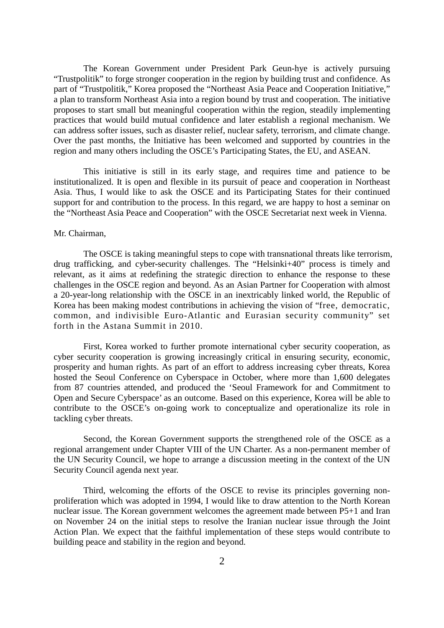The Korean Government under President Park Geun-hye is actively pursuing "Trustpolitik" to forge stronger cooperation in the region by building trust and confidence. As part of "Trustpolitik," Korea proposed the "Northeast Asia Peace and Cooperation Initiative," a plan to transform Northeast Asia into a region bound by trust and cooperation. The initiative proposes to start small but meaningful cooperation within the region, steadily implementing practices that would build mutual confidence and later establish a regional mechanism. We can address softer issues, such as disaster relief, nuclear safety, terrorism, and climate change. Over the past months, the Initiative has been welcomed and supported by countries in the region and many others including the OSCE's Participating States, the EU, and ASEAN.

This initiative is still in its early stage, and requires time and patience to be institutionalized. It is open and flexible in its pursuit of peace and cooperation in Northeast Asia. Thus, I would like to ask the OSCE and its Participating States for their continued support for and contribution to the process. In this regard, we are happy to host a seminar on the "Northeast Asia Peace and Cooperation" with the OSCE Secretariat next week in Vienna.

## Mr. Chairman,

The OSCE is taking meaningful steps to cope with transnational threats like terrorism, drug trafficking, and cyber-security challenges. The "Helsinki+40" process is timely and relevant, as it aims at redefining the strategic direction to enhance the response to these challenges in the OSCE region and beyond. As an Asian Partner for Cooperation with almost a 20-year-long relationship with the OSCE in an inextricably linked world, the Republic of Korea has been making modest contributions in achieving the vision of "free, democratic, common, and indivisible Euro-Atlantic and Eurasian security community" set forth in the Astana Summit in 2010.

First, Korea worked to further promote international cyber security cooperation, as cyber security cooperation is growing increasingly critical in ensuring security, economic, prosperity and human rights. As part of an effort to address increasing cyber threats, Korea hosted the Seoul Conference on Cyberspace in October, where more than 1,600 delegates from 87 countries attended, and produced the 'Seoul Framework for and Commitment to Open and Secure Cyberspace' as an outcome. Based on this experience, Korea will be able to contribute to the OSCE's on-going work to conceptualize and operationalize its role in tackling cyber threats.

Second, the Korean Government supports the strengthened role of the OSCE as a regional arrangement under Chapter VIII of the UN Charter. As a non-permanent member of the UN Security Council, we hope to arrange a discussion meeting in the context of the UN Security Council agenda next year.

Third, welcoming the efforts of the OSCE to revise its principles governing nonproliferation which was adopted in 1994, I would like to draw attention to the North Korean nuclear issue. The Korean government welcomes the agreement made between P5+1 and Iran on November 24 on the initial steps to resolve the Iranian nuclear issue through the Joint Action Plan. We expect that the faithful implementation of these steps would contribute to building peace and stability in the region and beyond.